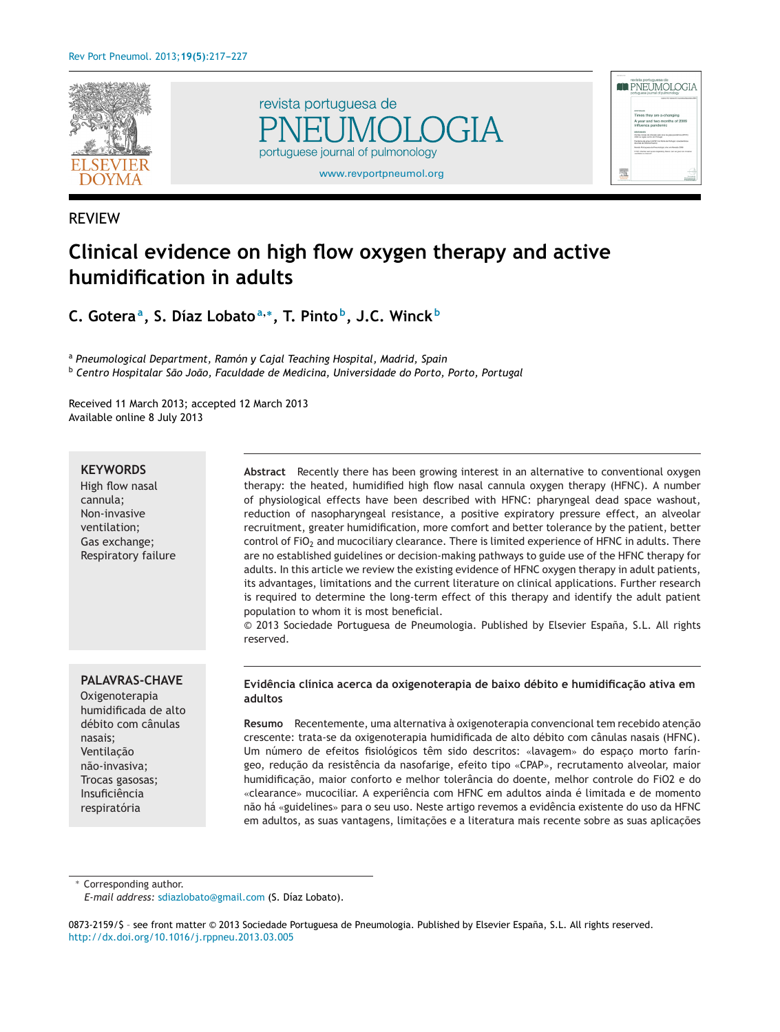





# REVIEW

# **Clinical evidence on high flow oxygen therapy and active humidification in adults**

**C. Goteraa, S. Díaz Lobatoa,∗, T. Pinto b, J.C. Winck <sup>b</sup>**

<sup>a</sup> *Pneumological Department, Ramón y Cajal Teaching Hospital, Madrid, Spain* <sup>b</sup> *Centro Hospitalar São João, Faculdade de Medicina, Universidade do Porto, Porto, Portugal*

Received 11 March 2013; accepted 12 March 2013 Available online 8 July 2013

#### **KEYWORDS**

High flow nasal cannula; Non-invasive ventilation; Gas exchange; Respiratory failure

**PALAVRAS-CHAVE**

Oxigenoterapia humidificada de alto débito com cânulas nasais; Ventilacão não-invasiva; Trocas gasosas; Insuficiência respiratória

**Abstract** Recently there has been growing interest in an alternative to conventional oxygen therapy: the heated, humidified high flow nasal cannula oxygen therapy (HFNC). A number of physiological effects have been described with HFNC: pharyngeal dead space washout, reduction of nasopharyngeal resistance, a positive expiratory pressure effect, an alveolar recruitment, greater humidification, more comfort and better tolerance by the patient, better control of FiO<sub>2</sub> and mucociliary clearance. There is limited experience of HFNC in adults. There are no established guidelines or decision-making pathways to guide use of the HFNC therapy for adults. In this article we review the existing evidence of HFNC oxygen therapy in adult patients, its advantages, limitations and the current literature on clinical applications. Further research is required to determine the long-term effect of this therapy and identify the adult patient population to whom it is most beneficial.

© 2013 Sociedade Portuguesa de Pneumologia. Published by Elsevier España, S.L. All rights reserved.

#### **Evidência clínica acerca da oxigenoterapia de baixo débito e humidificac¸ão ativa em adultos**

**Resumo** Recentemente, uma alternativa à oxigenoterapia convencional tem recebido atenção crescente: trata-se da oxigenoterapia humidificada de alto débito com cânulas nasais (HFNC). Um número de efeitos fisiológicos têm sido descritos: «lavagem» do espaco morto faríngeo, redução da resistência da nasofarige, efeito tipo «CPAP», recrutamento alveolar, maior humidificação, maior conforto e melhor tolerância do doente, melhor controle do FiO2 e do «clearance» mucociliar. A experiência com HFNC em adultos ainda é limitada e de momento não há «guidelines» para o seu uso. Neste artigo revemos a evidência existente do uso da HFNC em adultos, as suas vantagens, limitações e a literatura mais recente sobre as suas aplicações

∗ Corresponding author.

*E-mail address:* [sdiazlobato@gmail.com](mailto:sdiazlobato@gmail.com) (S. Díaz Lobato).

<sup>0873-2159/\$ –</sup> see front matter © 2013 Sociedade Portuguesa de Pneumologia. Published by Elsevier España, S.L. All rights reserved. [http://dx.doi.org/10.1016/j.rppneu.2013.03.005](dx.doi.org/10.1016/j.rppneu.2013.03.005)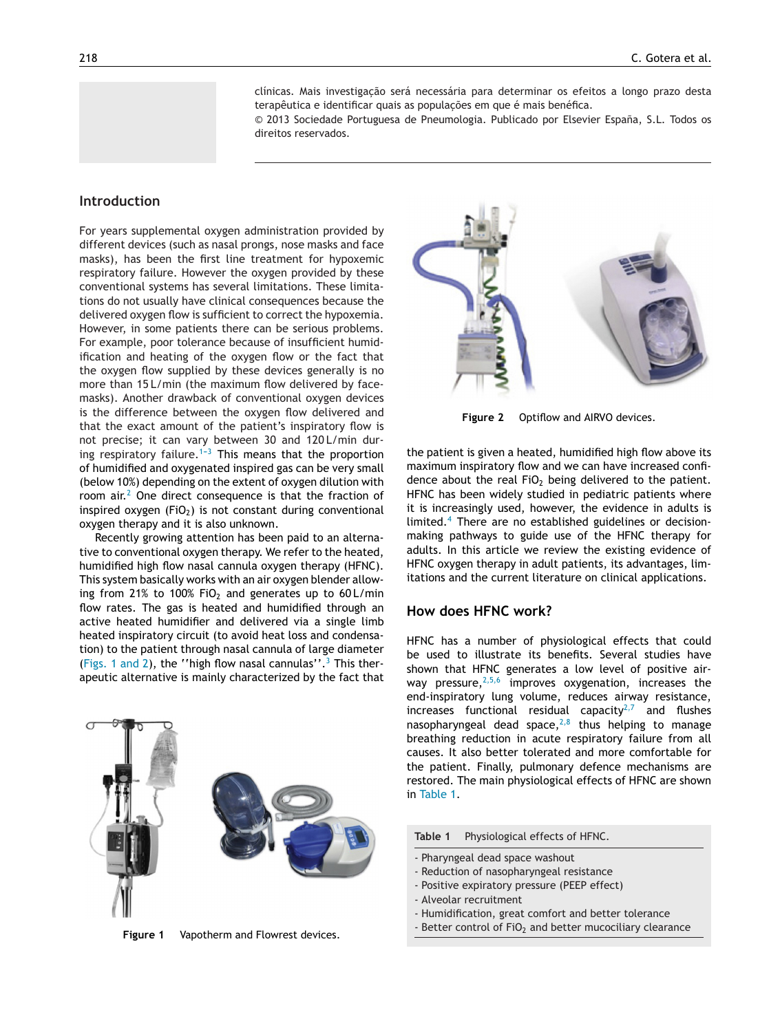clínicas. Mais investigação será necessária para determinar os efeitos a longo prazo desta terapêutica e identificar quais as populações em que é mais benéfica.

© 2013 Sociedade Portuguesa de Pneumologia. Publicado por Elsevier España, S.L. Todos os direitos reservados.

## <span id="page-1-0"></span>**Introduction**

For years supplemental oxygen administration provided by different devices (such as nasal prongs, nose masks and face masks), has been the first line treatment for hypoxemic respiratory failure. However the oxygen provided by these conventional systems has several limitations. These limitations do not usually have clinical consequences because the delivered oxygen flow is sufficient to correct the hypoxemia. However, in some patients there can be serious problems. For example, poor tolerance because of insufficient humidification and heating of the oxygen flow or the fact that the oxygen flow supplied by these devices generally is no more than 15 L/min (the maximum flow delivered by facemasks). Another drawback of conventional oxygen devices is the difference between the oxygen flow delivered and that the exact amount of the patient's inspiratory flow is not precise; it can vary between 30 and 120 L/min during respiratory failure.<sup>1-3</sup> This means that the proportion of humidified and oxygenated inspired gas can be very small (below 10%) depending on the extent of oxygen dilution with room air.[2](#page-9-0) One direct consequence is that the fraction of inspired oxygen  $(FiO<sub>2</sub>)$  is not constant during conventional oxygen therapy and it is also unknown.

Recently growing attention has been paid to an alternative to conventional oxygen therapy. We refer to the heated, humidified high flow nasal cannula oxygen therapy (HFNC). This system basically works with an air oxygen blender allowing from 21% to 100% FiO<sub>2</sub> and generates up to 60 L/min flow rates. The gas is heated and humidified through an active heated humidifier and delivered via a single limb heated inspiratory circuit (to avoid heat loss and condensation) to the patient through nasal cannula of large diameter (Figs. 1 and 2), the "high flow nasal cannulas".<sup>[3](#page-9-0)</sup> This therapeutic alternative is mainly characterized by the fact that



**Figure 1** Vapotherm and Flowrest devices.



**Figure 2** Optiflow and AIRVO devices.

the patient is given a heated, humidified high flow above its maximum inspiratory flow and we can have increased confidence about the real  $FiO<sub>2</sub>$  being delivered to the patient. HFNC has been widely studied in pediatric patients where it is increasingly used, however, the evidence in adults is limited.[4](#page-9-0) There are no established guidelines or decisionmaking pathways to guide use of the HFNC therapy for adults. In this article we review the existing evidence of HFNC oxygen therapy in adult patients, its advantages, limitations and the current literature on clinical applications.

#### **How does HFNC work?**

HFNC has a number of physiological effects that could be used to illustrate its benefits. Several studies have shown that HFNC generates a low level of positive airway pressure,  $2,5,6$  improves oxygenation, increases the end-inspiratory lung volume, reduces airway resistance, increases functional residual capacity<sup>[2,7](#page-9-0)</sup> and flushes nasopharyngeal dead space, $2,8$  thus helping to manage breathing reduction in acute respiratory failure from all causes. It also better tolerated and more comfortable for the patient. Finally, pulmonary defence mechanisms are restored. The main physiological effects of HFNC are shown in Table 1.

**Table 1** Physiological effects of HFNC.

- Pharyngeal dead space washout
- Reduction of nasopharyngeal resistance
- Positive expiratory pressure (PEEP effect)
- Alveolar recruitment
- Humidification, great comfort and better tolerance
- Better control of FiO<sub>2</sub> and better mucociliary clearance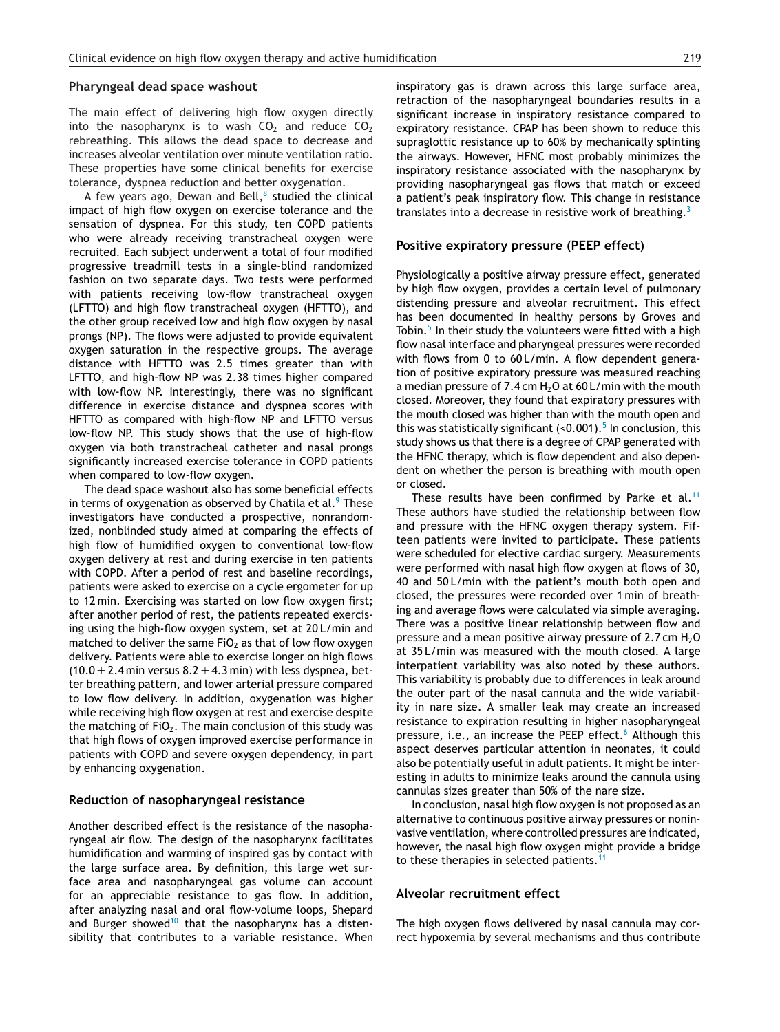#### **Pharyngeal dead space washout**

The main effect of delivering high flow oxygen directly into the nasopharynx is to wash  $CO<sub>2</sub>$  and reduce  $CO<sub>2</sub>$ rebreathing. This allows the dead space to decrease and increases alveolar ventilation over minute ventilation ratio. These properties have some clinical benefits for exercise tolerance, dyspnea reduction and better oxygenation.

A few years ago, Dewan and Bell, $8$  studied the clinical impact of high flow oxygen on exercise tolerance and the sensation of dyspnea. For this study, ten COPD patients who were already receiving transtracheal oxygen were recruited. Each subject underwent a total of four modified progressive treadmill tests in a single-blind randomized fashion on two separate days. Two tests were performed with patients receiving low-flow transtracheal oxygen (LFTTO) and high flow transtracheal oxygen (HFTTO), and the other group received low and high flow oxygen by nasal prongs (NP). The flows were adjusted to provide equivalent oxygen saturation in the respective groups. The average distance with HFTTO was 2.5 times greater than with LFTTO, and high-flow NP was 2.38 times higher compared with low-flow NP. Interestingly, there was no significant difference in exercise distance and dyspnea scores with HFTTO as compared with high-flow NP and LFTTO versus low-flow NP. This study shows that the use of high-flow oxygen via both transtracheal catheter and nasal prongs significantly increased exercise tolerance in COPD patients when compared to low-flow oxygen.

The dead space washout also has some beneficial effects in terms of oxygenation as observed by Chatila et al. $9$  [T](#page-9-0)hese investigators have conducted a prospective, nonrandomized, nonblinded study aimed at comparing the effects of high flow of humidified oxygen to conventional low-flow oxygen delivery at rest and during exercise in ten patients with COPD. After a period of rest and baseline recordings, patients were asked to exercise on a cycle ergometer for up to 12 min. Exercising was started on low flow oxygen first; after another period of rest, the patients repeated exercising using the high-flow oxygen system, set at 20 L/min and matched to deliver the same  $FiO<sub>2</sub>$  as that of low flow oxygen delivery. Patients were able to exercise longer on high flows  $(10.0 \pm 2.4 \,\text{min}$  versus  $8.2 \pm 4.3 \,\text{min}$ ) with less dyspnea, better breathing pattern, and lower arterial pressure compared to low flow delivery. In addition, oxygenation was higher while receiving high flow oxygen at rest and exercise despite the matching of  $FiO<sub>2</sub>$ . The main conclusion of this study was that high flows of oxygen improved exercise performance in patients with COPD and severe oxygen dependency, in part by enhancing oxygenation.

#### **Reduction of nasopharyngeal resistance**

Another described effect is the resistance of the nasopharyngeal air flow. The design of the nasopharynx facilitates humidification and warming of inspired gas by contact with the large surface area. By definition, this large wet surface area and nasopharyngeal gas volume can account for an appreciable resistance to gas flow. In addition, after analyzing nasal and oral flow-volume loops, Shepard and Burger showed<sup>[10](#page-9-0)</sup> that the nasopharynx has a distensibility that contributes to a variable resistance. When inspiratory gas is drawn across this large surface area, retraction of the nasopharyngeal boundaries results in a significant increase in inspiratory resistance compared to expiratory resistance. CPAP has been shown to reduce this supraglottic resistance up to 60% by mechanically splinting the airways. However, HFNC most probably minimizes the inspiratory resistance associated with the nasopharynx by providing nasopharyngeal gas flows that match or exceed a patient's peak inspiratory flow. This change in resistance translates into a decrease in resistive work of breathing.<sup>[3](#page-9-0)</sup>

#### **Positive expiratory pressure (PEEP effect)**

Physiologically a positive airway pressure effect, generated by high flow oxygen, provides a certain level of pulmonary distending pressure and alveolar recruitment. This effect has been documented in healthy persons by Groves and Tobin.<sup>5</sup> [In](#page-9-0) their study the volunteers were fitted with a high flow nasal interface and pharyngeal pressures were recorded with flows from 0 to 60 L/min. A flow dependent generation of positive expiratory pressure was measured reaching a median pressure of  $7.4$  cm  $H<sub>2</sub>O$  at 60 L/min with the mouth closed. Moreover, they found that expiratory pressures with the mouth closed was higher than with the mouth open and this was statistically significant  $\left($  <0.001).<sup>5</sup> [In](#page-9-0) conclusion, this study shows us that there is a degree of CPAP generated with the HFNC therapy, which is flow dependent and also dependent on whether the person is breathing with mouth open or closed.

These results have been confirmed by Parke et al.<sup>[11](#page-9-0)</sup> These authors have studied the relationship between flow and pressure with the HFNC oxygen therapy system. Fifteen patients were invited to participate. These patients were scheduled for elective cardiac surgery. Measurements were performed with nasal high flow oxygen at flows of 30, 40 and 50 L/min with the patient's mouth both open and closed, the pressures were recorded over 1 min of breathing and average flows were calculated via simple averaging. There was a positive linear relationship between flow and pressure and a mean positive airway pressure of  $2.7$  cm  $H_2O$ at 35 L/min was measured with the mouth closed. A large interpatient variability was also noted by these authors. This variability is probably due to differences in leak around the outer part of the nasal cannula and the wide variability in nare size. A smaller leak may create an increased resistance to expiration resulting in higher nasopharyngeal pressure, i.e., an increase the PEEP effect.<sup>[6](#page-9-0)</sup> Although this aspect deserves particular attention in neonates, it could also be potentially useful in adult patients. It might be interesting in adults to minimize leaks around the cannula using cannulas sizes greater than 50% of the nare size.

In conclusion, nasal high flow oxygen is not proposed as an alternative to continuous positive airway pressures or noninvasive ventilation, where controlled pressures are indicated, however, the nasal high flow oxygen might provide a bridge to these therapies in selected patients.<sup>[11](#page-9-0)</sup>

#### **Alveolar recruitment effect**

The high oxygen flows delivered by nasal cannula may correct hypoxemia by several mechanisms and thus contribute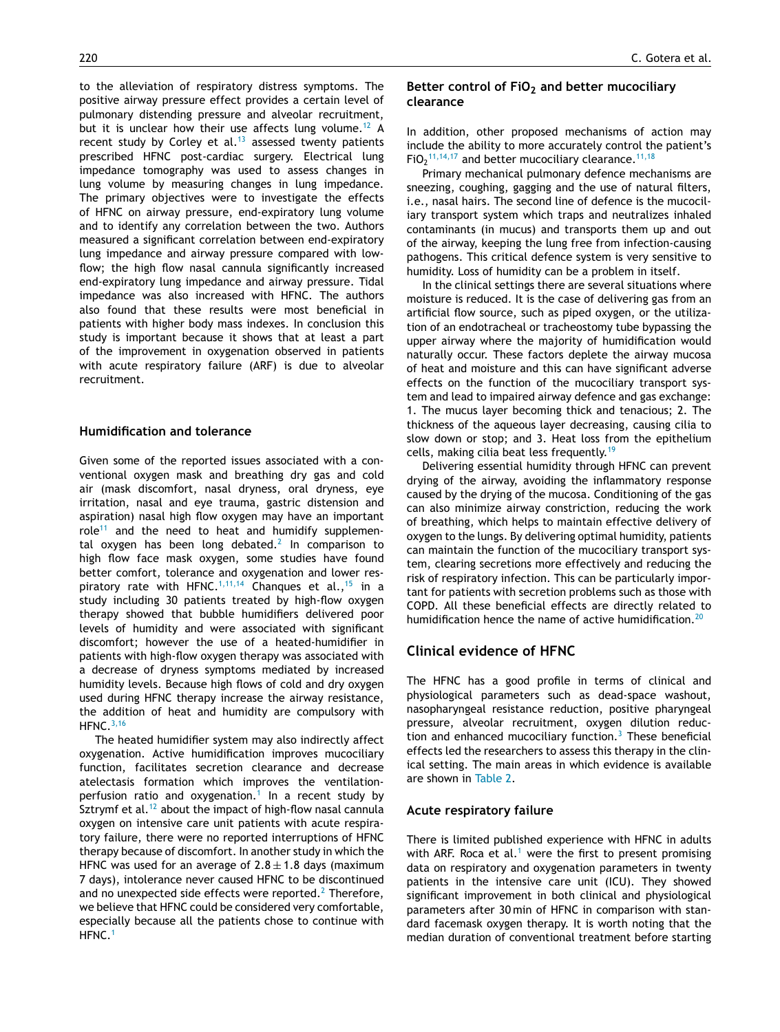to the alleviation of respiratory distress symptoms. The positive airway pressure effect provides a certain level of pulmonary distending pressure and alveolar recruitment, but it is unclear how their use affects lung volume.<sup>[12](#page-9-0)</sup> A recent study by Corley et al.<sup>[13](#page-9-0)</sup> assessed twenty patients prescribed HFNC post-cardiac surgery. Electrical lung impedance tomography was used to assess changes in lung volume by measuring changes in lung impedance. The primary objectives were to investigate the effects of HFNC on airway pressure, end-expiratory lung volume and to identify any correlation between the two. Authors measured a significant correlation between end-expiratory lung impedance and airway pressure compared with lowflow; the high flow nasal cannula significantly increased end-expiratory lung impedance and airway pressure. Tidal impedance was also increased with HFNC. The authors also found that these results were most beneficial in patients with higher body mass indexes. In conclusion this study is important because it shows that at least a part of the improvement in oxygenation observed in patients with acute respiratory failure (ARF) is due to alveolar recruitment.

#### **Humidification and tolerance**

Given some of the reported issues associated with a conventional oxygen mask and breathing dry gas and cold air (mask discomfort, nasal dryness, oral dryness, eye irritation, nasal and eye trauma, gastric distension and aspiration) nasal high flow oxygen may have an important role<sup>[11](#page-9-0)</sup> and the need to heat and humidify supplemen-tal oxygen has been long debated.<sup>[2](#page-9-0)</sup> In comparison to high flow face mask oxygen, some studies have found better comfort, tolerance and oxygenation and lower res-piratory rate with HFNC.<sup>[1,11,14](#page-9-0)</sup> Chanques et al., <sup>[15](#page-9-0)</sup> in a study including 30 patients treated by high-flow oxygen therapy showed that bubble humidifiers delivered poor levels of humidity and were associated with significant discomfort; however the use of a heated-humidifier in patients with high-flow oxygen therapy was associated with a decrease of dryness symptoms mediated by increased humidity levels. Because high flows of cold and dry oxygen used during HFNC therapy increase the airway resistance, the addition of heat and humidity are compulsory with HFNC.[3,16](#page-9-0)

The heated humidifier system may also indirectly affect oxygenation. Active humidification improves mucociliary function, facilitates secretion clearance and decrease atelectasis formation which improves the ventilation-perfusion ratio and oxygenation.<sup>[1](#page-9-0)</sup> In a recent study by Sztrymf et al. $12$  about the impact of high-flow nasal cannula oxygen on intensive care unit patients with acute respiratory failure, there were no reported interruptions of HFNC therapy because of discomfort. In another study in which the HFNC was used for an average of  $2.8 \pm 1.8$  days (maximum 7 days), intolerance never caused HFNC to be discontinued and no unexpected side effects were reported.<sup>2</sup> [T](#page-9-0)herefore, we believe that HFNC could be considered very comfortable, especially because all the patients chose to continue with HFNC.[1](#page-9-0)

# Better control of FiO<sub>2</sub> and better mucociliary **clearance**

In addition, other proposed mechanisms of action may include the ability to more accurately control the patient's  $FiO<sub>2</sub><sup>11,14,17</sup>$  $FiO<sub>2</sub><sup>11,14,17</sup>$  $FiO<sub>2</sub><sup>11,14,17</sup>$  and better mucociliary clearance.<sup>[11,18](#page-9-0)</sup>

Primary mechanical pulmonary defence mechanisms are sneezing, coughing, gagging and the use of natural filters, i.e., nasal hairs. The second line of defence is the mucociliary transport system which traps and neutralizes inhaled contaminants (in mucus) and transports them up and out of the airway, keeping the lung free from infection-causing pathogens. This critical defence system is very sensitive to humidity. Loss of humidity can be a problem in itself.

In the clinical settings there are several situations where moisture is reduced. It is the case of delivering gas from an artificial flow source, such as piped oxygen, or the utilization of an endotracheal or tracheostomy tube bypassing the upper airway where the majority of humidification would naturally occur. These factors deplete the airway mucosa of heat and moisture and this can have significant adverse effects on the function of the mucociliary transport system and lead to impaired airway defence and gas exchange: 1. The mucus layer becoming thick and tenacious; 2. The thickness of the aqueous layer decreasing, causing cilia to slow down or stop; and 3. Heat loss from the epithelium cells, making cilia beat less frequently.<sup>[19](#page-9-0)</sup>

Delivering essential humidity through HFNC can prevent drying of the airway, avoiding the inflammatory response caused by the drying of the mucosa. Conditioning of the gas can also minimize airway constriction, reducing the work of breathing, which helps to maintain effective delivery of oxygen to the lungs. By delivering optimal humidity, patients can maintain the function of the mucociliary transport system, clearing secretions more effectively and reducing the risk of respiratory infection. This can be particularly important for patients with secretion problems such as those with COPD. All these beneficial effects are directly related to humidification hence the name of active humidification.<sup>[20](#page-9-0)</sup>

# **Clinical evidence of HFNC**

The HFNC has a good profile in terms of clinical and physiological parameters such as dead-space washout, nasopharyngeal resistance reduction, positive pharyngeal pressure, alveolar recruitment, oxygen dilution reduction and enhanced mucociliary function. $3$  These beneficial effects led the researchers to assess this therapy in the clinical setting. The main areas in which evidence is available are shown in [Table 2.](#page-4-0)

#### **Acute respiratory failure**

There is limited published experience with HFNC in adults with ARF. Roca et al.<sup>[1](#page-9-0)</sup> were the first to present promising data on respiratory and oxygenation parameters in twenty patients in the intensive care unit (ICU). They showed significant improvement in both clinical and physiological parameters after 30 min of HFNC in comparison with standard facemask oxygen therapy. It is worth noting that the median duration of conventional treatment before starting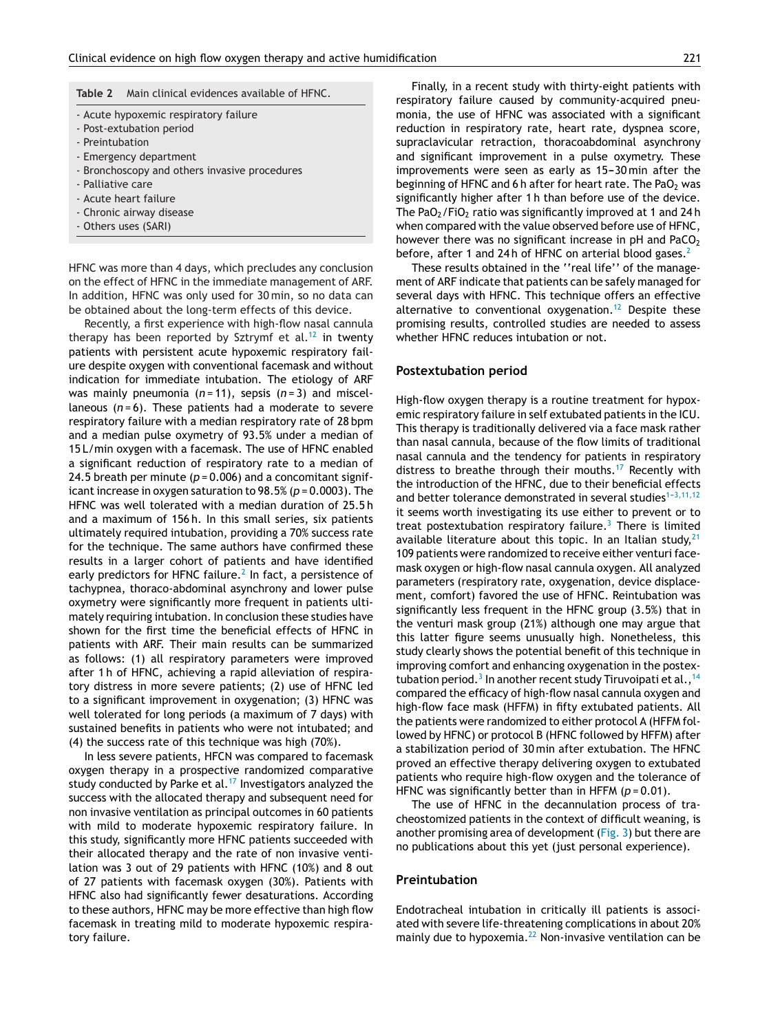<span id="page-4-0"></span>

- Acute hypoxemic respiratory failure
- Post-extubation period
- Preintubation
- Emergency department
- Bronchoscopy and others invasive procedures
- Palliative care
- Acute heart failure
- Chronic airway disease
- Others uses (SARI)

HFNC was more than 4 days, which precludes any conclusion on the effect of HFNC in the immediate management of ARF. In addition, HFNC was only used for 30 min, so no data can be obtained about the long-term effects of this device.

Recently, a first experience with high-flow nasal cannula therapy has been reported by Sztrymf et al.<sup>[12](#page-9-0)</sup> in twenty patients with persistent acute hypoxemic respiratory failure despite oxygen with conventional facemask and without indication for immediate intubation. The etiology of ARF was mainly pneumonia (*n* = 11), sepsis (*n* = 3) and miscellaneous (*n* = 6). These patients had a moderate to severe respiratory failure with a median respiratory rate of 28 bpm and a median pulse oxymetry of 93.5% under a median of 15 L/min oxygen with a facemask. The use of HFNC enabled a significant reduction of respiratory rate to a median of 24.5 breath per minute ( $p = 0.006$ ) and a concomitant significant increase in oxygen saturation to 98.5% (*p* = 0.0003). The HFNC was well tolerated with a median duration of 25.5 h and a maximum of 156 h. In this small series, six patients ultimately required intubation, providing a 70% success rate for the technique. The same authors have confirmed these results in a larger cohort of patients and have identified early predictors for HFNC failure.<sup>2</sup> [I](#page-9-0)n fact, a persistence of tachypnea, thoraco-abdominal asynchrony and lower pulse oxymetry were significantly more frequent in patients ultimately requiring intubation. In conclusion these studies have shown for the first time the beneficial effects of HFNC in patients with ARF. Their main results can be summarized as follows: (1) all respiratory parameters were improved after 1 h of HFNC, achieving a rapid alleviation of respiratory distress in more severe patients; (2) use of HFNC led to a significant improvement in oxygenation; (3) HFNC was well tolerated for long periods (a maximum of 7 days) with sustained benefits in patients who were not intubated; and (4) the success rate of this technique was high (70%).

In less severe patients, HFCN was compared to facemask oxygen therapy in a prospective randomized comparative study conducted by Parke et al.<sup>[17](#page-9-0)</sup> Investigators analyzed the success with the allocated therapy and subsequent need for non invasive ventilation as principal outcomes in 60 patients with mild to moderate hypoxemic respiratory failure. In this study, significantly more HFNC patients succeeded with their allocated therapy and the rate of non invasive ventilation was 3 out of 29 patients with HFNC (10%) and 8 out of 27 patients with facemask oxygen (30%). Patients with HFNC also had significantly fewer desaturations. According to these authors, HFNC may be more effective than high flow facemask in treating mild to moderate hypoxemic respiratory failure.

Finally, in a recent study with thirty-eight patients with respiratory failure caused by community-acquired pneumonia, the use of HFNC was associated with a significant reduction in respiratory rate, heart rate, dyspnea score, supraclavicular retraction, thoracoabdominal asynchrony and significant improvement in a pulse oxymetry. These improvements were seen as early as 15-30 min after the beginning of HFNC and 6 h after for heart rate. The PaO<sub>2</sub> was significantly higher after 1 h than before use of the device. The PaO<sub>2</sub>/FiO<sub>2</sub> ratio was significantly improved at 1 and 24 h when compared with the value observed before use of HFNC, however there was no significant increase in  $pH$  and  $PaCO<sub>2</sub>$ before, after 1 and [2](#page-9-0)4h of HFNC on arterial blood gases.<sup>2</sup>

These results obtained in the ''real life'' of the management of ARF indicate that patients can be safely managed for several days with HFNC. This technique offers an effective alternative to conventional oxygenation.<sup>[12](#page-9-0)</sup> Despite these promising results, controlled studies are needed to assess whether HFNC reduces intubation or not.

#### **Postextubation period**

High-flow oxygen therapy is a routine treatment for hypoxemic respiratory failure in self extubated patients in the ICU. This therapy is traditionally delivered via a face mask rather than nasal cannula, because of the flow limits of traditional nasal cannula and the tendency for patients in respiratory distress to breathe through their mouths.<sup>[17](#page-9-0)</sup> Recently with the introduction of the HFNC, due to their beneficial effects and better tolerance demonstrated in several studies<sup> $1-3,11,12$ </sup> it seems worth investigating its use either to prevent or to treat postextubation respiratory failure.<sup>[3](#page-9-0)</sup> There is limited available literature about this topic. In an Italian study,  $21$ 109 patients were randomized to receive either venturi facemask oxygen or high-flow nasal cannula oxygen. All analyzed parameters (respiratory rate, oxygenation, device displacement, comfort) favored the use of HFNC. Reintubation was significantly less frequent in the HFNC group (3.5%) that in the venturi mask group (21%) although one may argue that this latter figure seems unusually high. Nonetheless, this study clearly shows the potential benefit of this technique in improving comfort and enhancing oxygenation in the postex-tubation period.<sup>3</sup> [In](#page-9-0) another recent study Tiruvoipati et al., <sup>[14](#page-9-0)</sup> compared the efficacy of high-flow nasal cannula oxygen and high-flow face mask (HFFM) in fifty extubated patients. All the patients were randomized to either protocol A (HFFM followed by HFNC) or protocol B (HFNC followed by HFFM) after a stabilization period of 30 min after extubation. The HFNC proved an effective therapy delivering oxygen to extubated patients who require high-flow oxygen and the tolerance of HFNC was significantly better than in HFFM ( $p = 0.01$ ).

The use of HFNC in the decannulation process of tracheostomized patients in the context of difficult weaning, is another promising area of development [\(Fig. 3\) b](#page-5-0)ut there are no publications about this yet (just personal experience).

#### **Preintubation**

Endotracheal intubation in critically ill patients is associated with severe life-threatening complications in about 20% mainly due to hypoxemia. $^{22}$  $^{22}$  $^{22}$  Non-invasive ventilation can be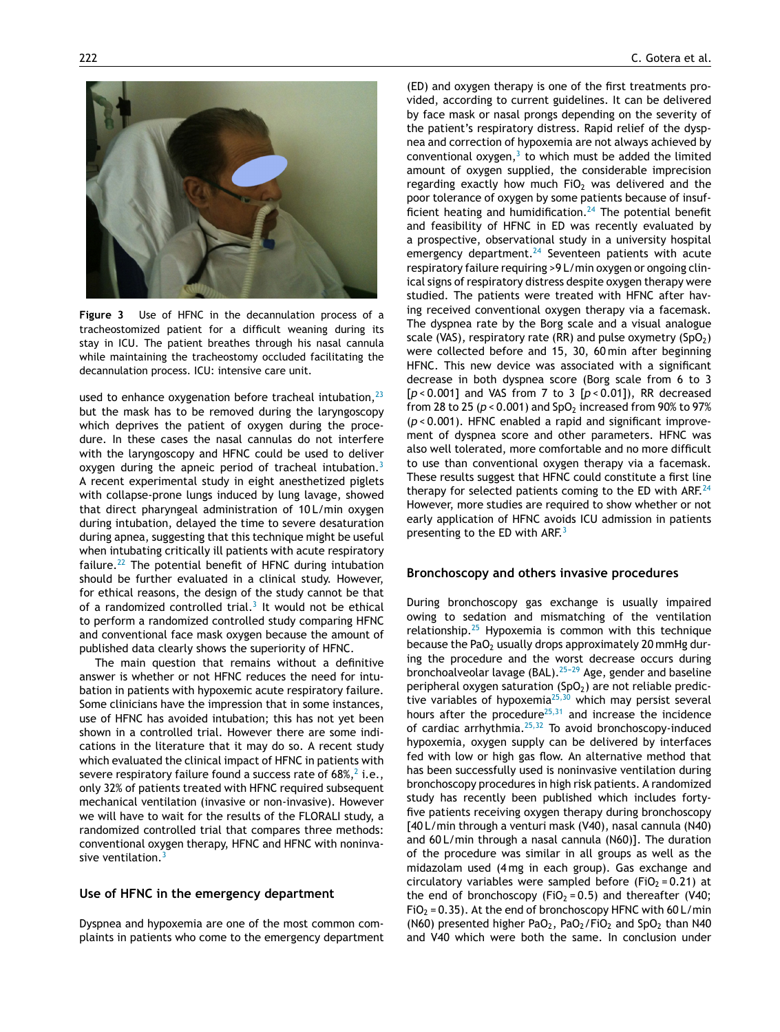<span id="page-5-0"></span>

**Figure 3** Use of HFNC in the decannulation process of a tracheostomized patient for a difficult weaning during its stay in ICU. The patient breathes through his nasal cannula while maintaining the tracheostomy occluded facilitating the decannulation process. ICU: intensive care unit.

used to enhance oxygenation before tracheal intubation, $^{23}$  $^{23}$  $^{23}$ but the mask has to be removed during the laryngoscopy which deprives the patient of oxygen during the procedure. In these cases the nasal cannulas do not interfere with the laryngoscopy and HFNC could be used to deliver oxygen during the apneic period of tracheal intubation.<sup>[3](#page-9-0)</sup> A recent experimental study in eight anesthetized piglets with collapse-prone lungs induced by lung lavage, showed that direct pharyngeal administration of 10 L/min oxygen during intubation, delayed the time to severe desaturation during apnea, suggesting that this technique might be useful when intubating critically ill patients with acute respiratory failure.<sup>[22](#page-9-0)</sup> The potential benefit of HFNC during intubation should be further evaluated in a clinical study. However, for ethical reasons, the design of the study cannot be that of a randomized controlled trial. $3$  It would not be ethical to perform a randomized controlled study comparing HFNC and conventional face mask oxygen because the amount of published data clearly shows the superiority of HFNC.

The main question that remains without a definitive answer is whether or not HFNC reduces the need for intubation in patients with hypoxemic acute respiratory failure. Some clinicians have the impression that in some instances, use of HFNC has avoided intubation; this has not yet been shown in a controlled trial. However there are some indications in the literature that it may do so. A recent study which evaluated the clinical impact of HFNC in patients with severe resp[i](#page-9-0)ratory failure found a success rate of  $68\%,^2$  i.e., only 32% of patients treated with HFNC required subsequent mechanical ventilation (invasive or non-invasive). However we will have to wait for the results of the FLORALI study, a randomized controlled trial that compares three methods: conventional oxygen therapy, HFNC and HFNC with noninva-sive ventilation.<sup>[3](#page-9-0)</sup>

#### **Use of HFNC in the emergency department**

Dyspnea and hypoxemia are one of the most common complaints in patients who come to the emergency department

(ED) and oxygen therapy is one of the first treatments provided, according to current guidelines. It can be delivered by face mask or nasal prongs depending on the severity of the patient's respiratory distress. Rapid relief of the dyspnea and correction of hypoxemia are not always achieved by conventional oxygen, $3$  to which must be added the limited amount of oxygen supplied, the considerable imprecision regarding exactly how much FiO $2$  was delivered and the poor tolerance of oxygen by some patients because of insufficient heating and humidification. $24$  The potential benefit and feasibility of HFNC in ED was recently evaluated by a prospective, observational study in a university hospital emergency department. $24$  Seventeen patients with acute respiratory failure requiring >9 L/min oxygen or ongoing clinical signs of respiratory distress despite oxygen therapy were studied. The patients were treated with HFNC after having received conventional oxygen therapy via a facemask. The dyspnea rate by the Borg scale and a visual analogue scale (VAS), respiratory rate (RR) and pulse oxymetry (SpO<sub>2</sub>) were collected before and 15, 30, 60 min after beginning HFNC. This new device was associated with a significant decrease in both dyspnea score (Borg scale from 6 to 3 [*p* < 0.001] and VAS from 7 to 3 [*p* < 0.01]), RR decreased from 28 to 25 ( $p < 0.001$ ) and SpO<sub>2</sub> increased from 90% to 97% (*p* < 0.001). HFNC enabled a rapid and significant improvement of dyspnea score and other parameters. HFNC was also well tolerated, more comfortable and no more difficult to use than conventional oxygen therapy via a facemask. These results suggest that HFNC could constitute a first line therapy for selected patients coming to the ED with ARF. $^{24}$  $^{24}$  $^{24}$ However, more studies are required to show whether or not early application of HFNC avoids ICU admission in patients presenting to the ED with ARF.<sup>[3](#page-9-0)</sup>

#### **Bronchoscopy and others invasive procedures**

During bronchoscopy gas exchange is usually impaired owing to sedation and mismatching of the ventilation relationship. $25$  Hypoxemia is common with this technique because the PaO<sub>2</sub> usually drops approximately 20 mmHg during the procedure and the worst decrease occurs during bronchoalveolar lavage (BAL).<sup>25-29</sup> Age, gender and baseline peripheral oxygen saturation  $(SpO<sub>2</sub>)$  are not reliable predictive variables of hypoxemia $25,30$  which may persist several hours after the procedure<sup>[25,31](#page-10-0)</sup> and increase the incidence of cardiac arrhythmia. $25,32$  To avoid bronchoscopy-induced hypoxemia, oxygen supply can be delivered by interfaces fed with low or high gas flow. An alternative method that has been successfully used is noninvasive ventilation during bronchoscopy procedures in high risk patients. A randomized study has recently been published which includes fortyfive patients receiving oxygen therapy during bronchoscopy [40 L/min through a venturi mask (V40), nasal cannula (N40) and 60 L/min through a nasal cannula (N60)]. The duration of the procedure was similar in all groups as well as the midazolam used (4 mg in each group). Gas exchange and circulatory variables were sampled before (FiO<sub>2</sub> = 0.21) at the end of bronchoscopy (FiO<sub>2</sub> = 0.5) and thereafter (V40;  $FiO<sub>2</sub> = 0.35$ ). At the end of bronchoscopy HFNC with 60 L/min (N60) presented higher PaO<sub>2</sub>, PaO<sub>2</sub>/FiO<sub>2</sub> and SpO<sub>2</sub> than N40 and V40 which were both the same. In conclusion under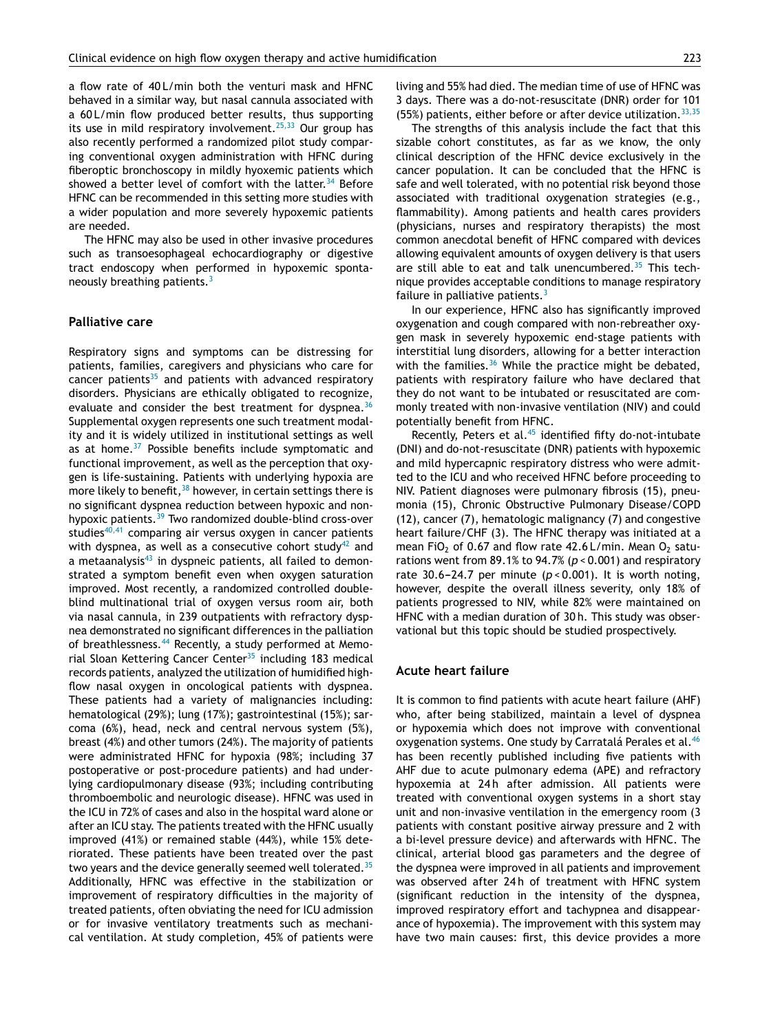a flow rate of 40 L/min both the venturi mask and HFNC behaved in a similar way, but nasal cannula associated with a 60 L/min flow produced better results, thus supporting its use in mild respiratory involvement.<sup>[25,33](#page-10-0)</sup> Our group has also recently performed a randomized pilot study comparing conventional oxygen administration with HFNC during fiberoptic bronchoscopy in mildly hyoxemic patients which showed a better level of comfort with the latter.<sup>[34](#page-10-0)</sup> Before HFNC can be recommended in this setting more studies with a wider population and more severely hypoxemic patients are needed.

The HFNC may also be used in other invasive procedures such as transoesophageal echocardiography or digestive tract endoscopy when performed in hypoxemic spontaneously breathing patients.[3](#page-9-0)

#### **Palliative care**

Respiratory signs and symptoms can be distressing for patients, families, caregivers and physicians who care for cancer patients $35$  and patients with advanced respiratory disorders. Physicians are ethically obligated to recognize, evaluate and consider the best treatment for dyspnea.<sup>[36](#page-10-0)</sup> Supplemental oxygen represents one such treatment modality and it is widely utilized in institutional settings as well as at home. $37$  Possible benefits include symptomatic and functional improvement, as well as the perception that oxygen is life-sustaining. Patients with underlying hypoxia are more likely to benefit,  $38$  however, in certain settings there is no significant dyspnea reduction between hypoxic and non-hypoxic patients.<sup>[39](#page-10-0)</sup> Two randomized double-blind cross-over studies $40,41$  comparing air versus oxygen in cancer patients with dyspnea, as well as a consecutive cohort study<sup>[42](#page-10-0)</sup> and a metaanalysis $43$  in dyspneic patients, all failed to demonstrated a symptom benefit even when oxygen saturation improved. Most recently, a randomized controlled doubleblind multinational trial of oxygen versus room air, both via nasal cannula, in 239 outpatients with refractory dyspnea demonstrated no significant differences in the palliation of breathlessness.<sup>[44](#page-10-0)</sup> Recently, a study performed at Memo-rial Sloan Kettering Cancer Center<sup>[35](#page-10-0)</sup> including 183 medical records patients, analyzed the utilization of humidified highflow nasal oxygen in oncological patients with dyspnea. These patients had a variety of malignancies including: hematological (29%); lung (17%); gastrointestinal (15%); sarcoma (6%), head, neck and central nervous system (5%), breast (4%) and other tumors (24%). The majority of patients were administrated HFNC for hypoxia (98%; including 37 postoperative or post-procedure patients) and had underlying cardiopulmonary disease (93%; including contributing thromboembolic and neurologic disease). HFNC was used in the ICU in 72% of cases and also in the hospital ward alone or after an ICU stay. The patients treated with the HFNC usually improved (41%) or remained stable (44%), while 15% deteriorated. These patients have been treated over the past two years and the device generally seemed well tolerated.<sup>[35](#page-10-0)</sup> Additionally, HFNC was effective in the stabilization or improvement of respiratory difficulties in the majority of treated patients, often obviating the need for ICU admission or for invasive ventilatory treatments such as mechanical ventilation. At study completion, 45% of patients were living and 55% had died. The median time of use of HFNC was 3 days. There was a do-not-resuscitate (DNR) order for 101 (55%) patients, either before or after device utilization.  $33,35$ 

The strengths of this analysis include the fact that this sizable cohort constitutes, as far as we know, the only clinical description of the HFNC device exclusively in the cancer population. It can be concluded that the HFNC is safe and well tolerated, with no potential risk beyond those associated with traditional oxygenation strategies (e.g., flammability). Among patients and health cares providers (physicians, nurses and respiratory therapists) the most common anecdotal benefit of HFNC compared with devices allowing equivalent amounts of oxygen delivery is that users are still able to eat and talk unencumbered.<sup>[35](#page-10-0)</sup> This technique provides acceptable conditions to manage respiratory failure in palliative patients. $3$ 

In our experience, HFNC also has significantly improved oxygenation and cough compared with non-rebreather oxygen mask in severely hypoxemic end-stage patients with interstitial lung disorders, allowing for a better interaction with the families. $36$  While the practice might be debated, patients with respiratory failure who have declared that they do not want to be intubated or resuscitated are commonly treated with non-invasive ventilation (NIV) and could potentially benefit from HFNC.

Recently, Peters et al. $45$  identified fifty do-not-intubate (DNI) and do-not-resuscitate (DNR) patients with hypoxemic and mild hypercapnic respiratory distress who were admitted to the ICU and who received HFNC before proceeding to NIV. Patient diagnoses were pulmonary fibrosis (15), pneumonia (15), Chronic Obstructive Pulmonary Disease/COPD (12), cancer (7), hematologic malignancy (7) and congestive heart failure/CHF (3). The HFNC therapy was initiated at a mean FiO<sub>2</sub> of 0.67 and flow rate  $42.6$  L/min. Mean O<sub>2</sub> saturations went from 89.1% to 94.7% (*p* < 0.001) and respiratory rate 30.6-24.7 per minute  $(p < 0.001)$ . It is worth noting, however, despite the overall illness severity, only 18% of patients progressed to NIV, while 82% were maintained on HFNC with a median duration of 30 h. This study was observational but this topic should be studied prospectively.

#### **Acute heart failure**

It is common to find patients with acute heart failure (AHF) who, after being stabilized, maintain a level of dyspnea or hypoxemia which does not improve with conventional oxygenation systems. One study by Carratalá Perales et al.<sup>[46](#page-10-0)</sup> has been recently published including five patients with AHF due to acute pulmonary edema (APE) and refractory hypoxemia at 24h after admission. All patients were treated with conventional oxygen systems in a short stay unit and non-invasive ventilation in the emergency room (3 patients with constant positive airway pressure and 2 with a bi-level pressure device) and afterwards with HFNC. The clinical, arterial blood gas parameters and the degree of the dyspnea were improved in all patients and improvement was observed after 24h of treatment with HFNC system (significant reduction in the intensity of the dyspnea, improved respiratory effort and tachypnea and disappearance of hypoxemia). The improvement with this system may have two main causes: first, this device provides a more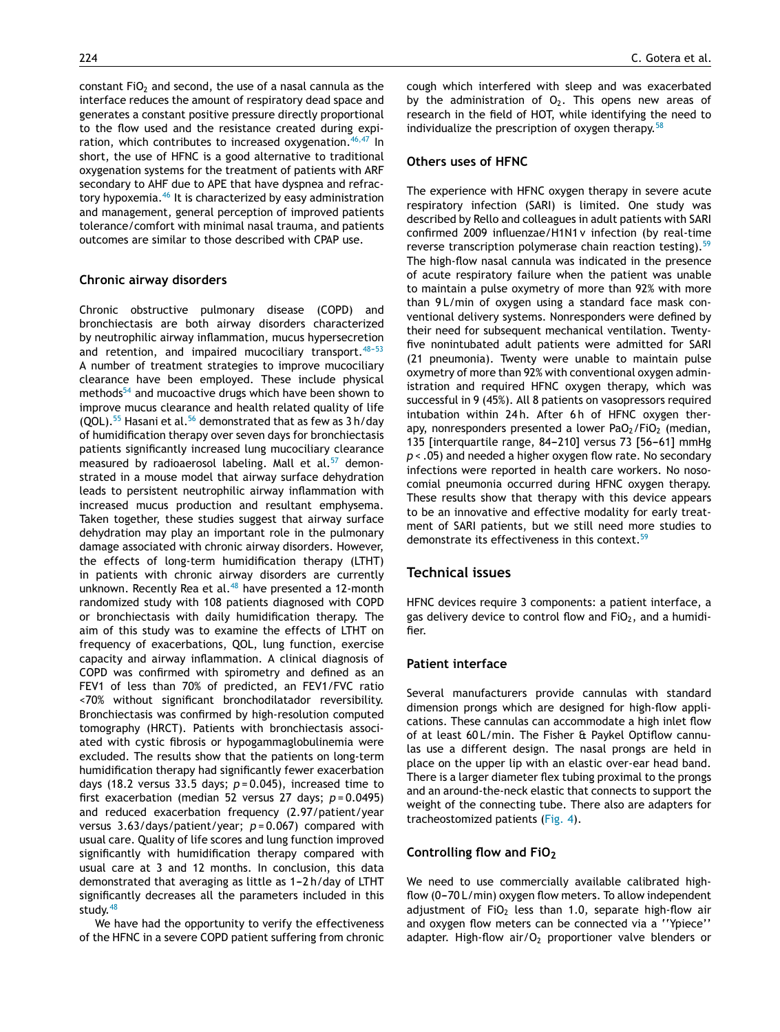constant FiO<sub>2</sub> and second, the use of a nasal cannula as the interface reduces the amount of respiratory dead space and generates a constant positive pressure directly proportional to the flow used and the resistance created during expi-ration, which contributes to increased oxygenation.<sup>[46,47](#page-10-0)</sup> In short, the use of HFNC is a good alternative to traditional oxygenation systems for the treatment of patients with ARF secondary to AHF due to APE that have dyspnea and refrac-tory hypoxemia.<sup>[46](#page-10-0)</sup> It is characterized by easy administration and management, general perception of improved patients tolerance/comfort with minimal nasal trauma, and patients outcomes are similar to those described with CPAP use.

#### **Chronic airway disorders**

Chronic obstructive pulmonary disease (COPD) and bronchiectasis are both airway disorders characterized by neutrophilic airway inflammation, mucus hypersecretion and retention, and impaired mucociliary transport.  $48-53$ A number of treatment strategies to improve mucociliary clearance have been employed. These include physical methods<sup>[54](#page-10-0)</sup> and mucoactive drugs which have been shown to improve mucus clearance and health related quality of life (QOL).<sup>[55](#page-10-0)</sup> Hasani et al.<sup>[56](#page-10-0)</sup> demonstrated that as few as  $3 h/day$ of humidification therapy over seven days for bronchiectasis patients significantly increased lung mucociliary clearance measured by radioaerosol labeling. Mall et al. $57$  demonstrated in a mouse model that airway surface dehydration leads to persistent neutrophilic airway inflammation with increased mucus production and resultant emphysema. Taken together, these studies suggest that airway surface dehydration may play an important role in the pulmonary damage associated with chronic airway disorders. However, the effects of long-term humidification therapy (LTHT) in patients with chronic airway disorders are currently unknown. Recently Rea et al. $48$  have presented a 12-month randomized study with 108 patients diagnosed with COPD or bronchiectasis with daily humidification therapy. The aim of this study was to examine the effects of LTHT on frequency of exacerbations, QOL, lung function, exercise capacity and airway inflammation. A clinical diagnosis of COPD was confirmed with spirometry and defined as an FEV1 of less than 70% of predicted, an FEV1/FVC ratio <70% without significant bronchodilatador reversibility. Bronchiectasis was confirmed by high-resolution computed tomography (HRCT). Patients with bronchiectasis associated with cystic fibrosis or hypogammaglobulinemia were excluded. The results show that the patients on long-term humidification therapy had significantly fewer exacerbation days (18.2 versus 33.5 days; *p* = 0.045), increased time to first exacerbation (median 52 versus 27 days; *p* = 0.0495) and reduced exacerbation frequency (2.97/patient/year versus 3.63/days/patient/year; *p* = 0.067) compared with usual care. Quality of life scores and lung function improved significantly with humidification therapy compared with usual care at 3 and 12 months. In conclusion, this data demonstrated that averaging as little as  $1-2 h/day$  of LTHT significantly decreases all the parameters included in this study. $48$ 

We have had the opportunity to verify the effectiveness of the HFNC in a severe COPD patient suffering from chronic

cough which interfered with sleep and was exacerbated by the administration of  $O<sub>2</sub>$ . This opens new areas of research in the field of HOT, while identifying the need to individualize the prescription of oxygen therapy.  $58$ 

#### **Others uses of HFNC**

The experience with HFNC oxygen therapy in severe acute respiratory infection (SARI) is limited. One study was described by Rello and colleagues in adult patients with SARI confirmed 2009 influenzae/H1N1 v infection (by real-time reverse transcription polymerase chain reaction testing).<sup>[59](#page-10-0)</sup> The high-flow nasal cannula was indicated in the presence of acute respiratory failure when the patient was unable to maintain a pulse oxymetry of more than 92% with more than 9L/min of oxygen using a standard face mask conventional delivery systems. Nonresponders were defined by their need for subsequent mechanical ventilation. Twentyfive nonintubated adult patients were admitted for SARI (21 pneumonia). Twenty were unable to maintain pulse oxymetry of more than 92% with conventional oxygen administration and required HFNC oxygen therapy, which was successful in 9 (45%). All 8 patients on vasopressors required intubation within 24h. After 6h of HFNC oxygen therapy, nonresponders presented a lower  $PaO<sub>2</sub>/FiO<sub>2</sub>$  (median, 135 [interquartile range, 84-210] versus 73 [56-61] mmHg *p* < .05) and needed a higher oxygen flow rate. No secondary infections were reported in health care workers. No nosocomial pneumonia occurred during HFNC oxygen therapy. These results show that therapy with this device appears to be an innovative and effective modality for early treatment of SARI patients, but we still need more studies to demonstrate its effectiveness in this context.<sup>[59](#page-10-0)</sup>

#### **Technical issues**

HFNC devices require 3 components: a patient interface, a gas delivery device to control flow and  $FiO<sub>2</sub>$ , and a humidifier.

#### **Patient interface**

Several manufacturers provide cannulas with standard dimension prongs which are designed for high-flow applications. These cannulas can accommodate a high inlet flow of at least 60 L/min. The Fisher & Paykel Optiflow cannulas use a different design. The nasal prongs are held in place on the upper lip with an elastic over-ear head band. There is a larger diameter flex tubing proximal to the prongs and an around-the-neck elastic that connects to support the weight of the connecting tube. There also are adapters for tracheostomized patients [\(Fig. 4\).](#page-8-0)

#### **Controlling flow and FiO2**

We need to use commercially available calibrated highflow  $(0-70 \text{ L/min})$  oxygen flow meters. To allow independent adjustment of FiO<sub>2</sub> less than 1.0, separate high-flow air and oxygen flow meters can be connected via a ''Ypiece'' adapter. High-flow air/ $O<sub>2</sub>$  proportioner valve blenders or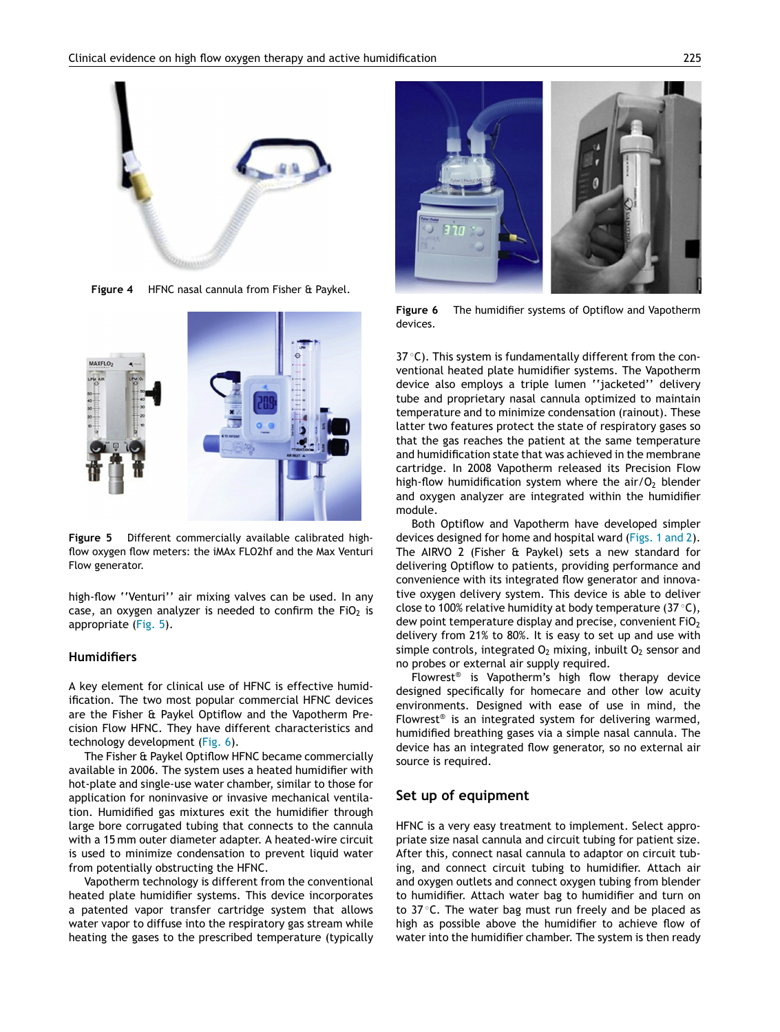<span id="page-8-0"></span>

**Figure 4** HFNC nasal cannula from Fisher & Paykel.



**Figure 5** Different commercially available calibrated highflow oxygen flow meters: the iMAx FLO2hf and the Max Venturi Flow generator.

high-flow ''Venturi'' air mixing valves can be used. In any case, an oxygen analyzer is needed to confirm the  $FiO<sub>2</sub>$  is appropriate (Fig. 5).

#### **Humidifiers**

A key element for clinical use of HFNC is effective humidification. The two most popular commercial HFNC devices are the Fisher & Paykel Optiflow and the Vapotherm Precision Flow HFNC. They have different characteristics and technology development (Fig. 6).

The Fisher & Paykel Optiflow HFNC became commercially available in 2006. The system uses a heated humidifier with hot-plate and single-use water chamber, similar to those for application for noninvasive or invasive mechanical ventilation. Humidified gas mixtures exit the humidifier through large bore corrugated tubing that connects to the cannula with a 15 mm outer diameter adapter. A heated-wire circuit is used to minimize condensation to prevent liquid water from potentially obstructing the HFNC.

Vapotherm technology is different from the conventional heated plate humidifier systems. This device incorporates a patented vapor transfer cartridge system that allows water vapor to diffuse into the respiratory gas stream while heating the gases to the prescribed temperature (typically



**Figure 6** The humidifier systems of Optiflow and Vapotherm devices.

37 °C). This system is fundamentally different from the conventional heated plate humidifier systems. The Vapotherm device also employs a triple lumen ''jacketed'' delivery tube and proprietary nasal cannula optimized to maintain temperature and to minimize condensation (rainout). These latter two features protect the state of respiratory gases so that the gas reaches the patient at the same temperature and humidification state that was achieved in the membrane cartridge. In 2008 Vapotherm released its Precision Flow high-flow humidification system where the air/ $O<sub>2</sub>$  blender and oxygen analyzer are integrated within the humidifier module.

Both Optiflow and Vapotherm have developed simpler devices designed for home and hospital ward ([Figs. 1 and 2\).](#page-1-0) The AIRVO 2 (Fisher & Paykel) sets a new standard for delivering Optiflow to patients, providing performance and convenience with its integrated flow generator and innovative oxygen delivery system. This device is able to deliver close to 100% relative humidity at body temperature (37 ◦C), dew point temperature display and precise, convenient  $FiO<sub>2</sub>$ delivery from 21% to 80%. It is easy to set up and use with simple controls, integrated  $O_2$  mixing, inbuilt  $O_2$  sensor and no probes or external air supply required.

Flowrest® is Vapotherm's high flow therapy device designed specifically for homecare and other low acuity environments. Designed with ease of use in mind, the Flowrest® is an integrated system for delivering warmed, humidified breathing gases via a simple nasal cannula. The device has an integrated flow generator, so no external air source is required.

#### **Set up of equipment**

HFNC is a very easy treatment to implement. Select appropriate size nasal cannula and circuit tubing for patient size. After this, connect nasal cannula to adaptor on circuit tubing, and connect circuit tubing to humidifier. Attach air and oxygen outlets and connect oxygen tubing from blender to humidifier. Attach water bag to humidifier and turn on to 37 ℃. The water bag must run freely and be placed as high as possible above the humidifier to achieve flow of water into the humidifier chamber. The system is then ready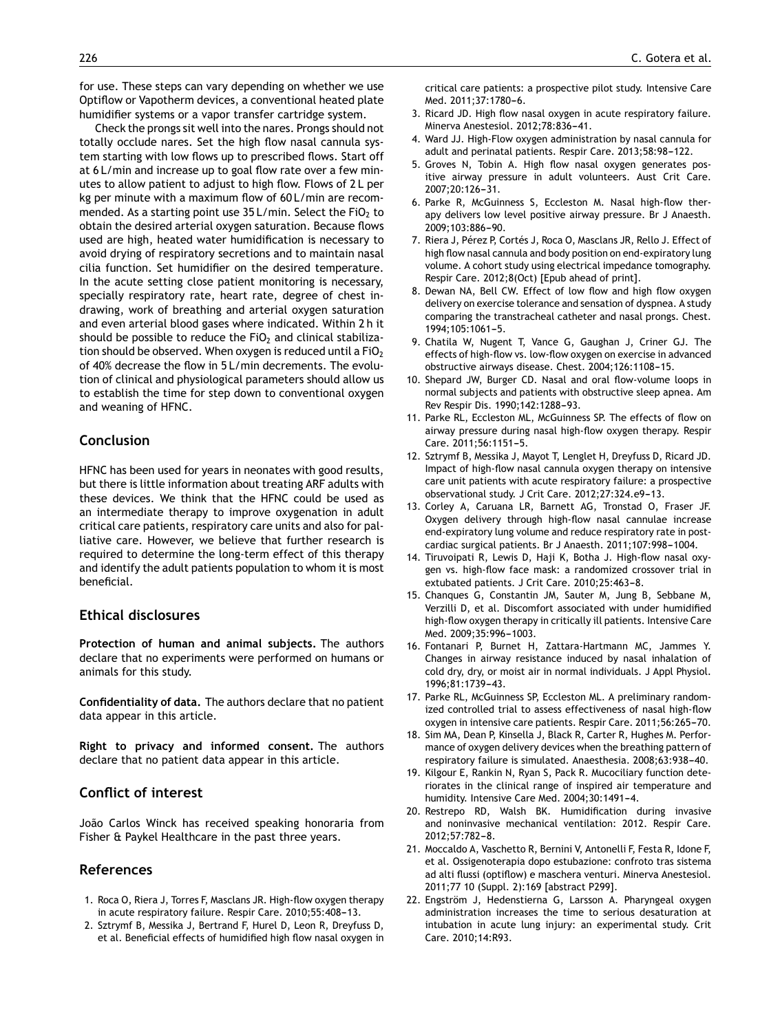<span id="page-9-0"></span>for use. These steps can vary depending on whether we use Optiflow or Vapotherm devices, a conventional heated plate humidifier systems or a vapor transfer cartridge system.

Check the prongs sit well into the nares. Prongs should not totally occlude nares. Set the high flow nasal cannula system starting with low flows up to prescribed flows. Start off at 6 L/min and increase up to goal flow rate over a few minutes to allow patient to adjust to high flow. Flows of 2 L per kg per minute with a maximum flow of 60 L/min are recommended. As a starting point use  $35 L/min$ . Select the FiO<sub>2</sub> to obtain the desired arterial oxygen saturation. Because flows used are high, heated water humidification is necessary to avoid drying of respiratory secretions and to maintain nasal cilia function. Set humidifier on the desired temperature. In the acute setting close patient monitoring is necessary, specially respiratory rate, heart rate, degree of chest indrawing, work of breathing and arterial oxygen saturation and even arterial blood gases where indicated. Within 2 h it should be possible to reduce the FiO<sub>2</sub> and clinical stabilization should be observed. When oxygen is reduced until a  $FiO<sub>2</sub>$ of 40% decrease the flow in 5 L/min decrements. The evolution of clinical and physiological parameters should allow us to establish the time for step down to conventional oxygen and weaning of HFNC.

# **Conclusion**

HFNC has been used for years in neonates with good results, but there is little information about treating ARF adults with these devices. We think that the HFNC could be used as an intermediate therapy to improve oxygenation in adult critical care patients, respiratory care units and also for palliative care. However, we believe that further research is required to determine the long-term effect of this therapy and identify the adult patients population to whom it is most beneficial.

# **Ethical disclosures**

**Protection of human and animal subjects.** The authors declare that no experiments were performed on humans or animals for this study.

**Confidentiality of data.** The authors declare that no patient data appear in this article.

**Right to privacy and informed consent.** The authors declare that no patient data appear in this article.

# **Conflict of interest**

João Carlos Winck has received speaking honoraria from Fisher & Paykel Healthcare in the past three years.

# **References**

- 1. Roca O, Riera J, Torres F, Masclans JR. High-flow oxygen therapy in acute respiratory failure. Respir Care. 2010;55:408-13.
- 2. Sztrymf B, Messika J, Bertrand F, Hurel D, Leon R, Dreyfuss D, et al. Beneficial effects of humidified high flow nasal oxygen in

critical care patients: a prospective pilot study. Intensive Care Med. 2011;37:1780-6.

- 3. Ricard JD. High flow nasal oxygen in acute respiratory failure. Minerva Anestesiol. 2012;78:836-41.
- 4. Ward JJ. High-Flow oxygen administration by nasal cannula for adult and perinatal patients. Respir Care. 2013;58:98-122.
- 5. Groves N, Tobin A. High flow nasal oxygen generates positive airway pressure in adult volunteers. Aust Crit Care. 2007;20:126-31.
- 6. Parke R, McGuinness S, Eccleston M. Nasal high-flow therapy delivers low level positive airway pressure. Br J Anaesth. 2009:103:886-90.
- 7. Riera J, Pérez P, Cortés J, Roca O, Masclans JR, Rello J. Effect of high flow nasal cannula and body position on end-expiratory lung volume. A cohort study using electrical impedance tomography. Respir Care. 2012;8(Oct) [Epub ahead of print].
- 8. Dewan NA, Bell CW. Effect of low flow and high flow oxygen delivery on exercise tolerance and sensation of dyspnea. A study comparing the transtracheal catheter and nasal prongs. Chest. 1994;105:1061-5.
- 9. Chatila W, Nugent T, Vance G, Gaughan J, Criner GJ. The effects of high-flow vs. low-flow oxygen on exercise in advanced obstructive airways disease. Chest. 2004;126:1108-15.
- 10. Shepard JW, Burger CD. Nasal and oral flow-volume loops in normal subjects and patients with obstructive sleep apnea. Am Rev Respir Dis. 1990;142:1288-93.
- 11. Parke RL, Eccleston ML, McGuinness SP. The effects of flow on airway pressure during nasal high-flow oxygen therapy. Respir Care. 2011;56:1151-5.
- 12. Sztrymf B, Messika J, Mayot T, Lenglet H, Dreyfuss D, Ricard JD. Impact of high-flow nasal cannula oxygen therapy on intensive care unit patients with acute respiratory failure: a prospective observational study. J Crit Care. 2012;27:324.e9-13.
- 13. Corley A, Caruana LR, Barnett AG, Tronstad O, Fraser JF. Oxygen delivery through high-flow nasal cannulae increase end-expiratory lung volume and reduce respiratory rate in postcardiac surgical patients. Br J Anaesth. 2011;107:998-1004.
- 14. Tiruvoipati R, Lewis D, Haji K, Botha J. High-flow nasal oxygen vs. high-flow face mask: a randomized crossover trial in extubated patients. J Crit Care. 2010;25:463-8.
- 15. Chanques G, Constantin JM, Sauter M, Jung B, Sebbane M, Verzilli D, et al. Discomfort associated with under humidified high-flow oxygen therapy in critically ill patients. Intensive Care Med. 2009;35:996-1003.
- 16. Fontanari P, Burnet H, Zattara-Hartmann MC, Jammes Y. Changes in airway resistance induced by nasal inhalation of cold dry, dry, or moist air in normal individuals. J Appl Physiol. 1996;81:1739-43.
- 17. Parke RL, McGuinness SP, Eccleston ML. A preliminary randomized controlled trial to assess effectiveness of nasal high-flow oxygen in intensive care patients. Respir Care. 2011;56:265-70.
- 18. Sim MA, Dean P, Kinsella J, Black R, Carter R, Hughes M. Performance of oxygen delivery devices when the breathing pattern of respiratory failure is simulated. Anaesthesia. 2008;63:938-40.
- 19. Kilgour E, Rankin N, Ryan S, Pack R. Mucociliary function deteriorates in the clinical range of inspired air temperature and humidity. Intensive Care Med. 2004;30:1491-4.
- 20. Restrepo RD, Walsh BK. Humidification during invasive and noninvasive mechanical ventilation: 2012. Respir Care. 2012:57:782-8.
- 21. Moccaldo A, Vaschetto R, Bernini V, Antonelli F, Festa R, Idone F, et al. Ossigenoterapia dopo estubazione: confroto tras sistema ad alti flussi (optiflow) e maschera venturi. Minerva Anestesiol. 2011;77 10 (Suppl. 2):169 [abstract P299].
- 22. Engström J, Hedenstierna G, Larsson A. Pharyngeal oxygen administration increases the time to serious desaturation at intubation in acute lung injury: an experimental study. Crit Care. 2010;14:R93.